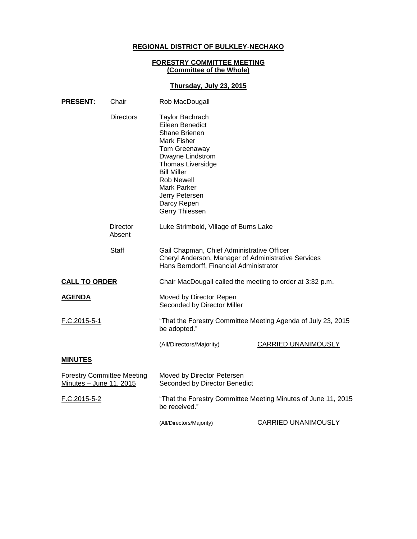# **REGIONAL DISTRICT OF BULKLEY-NECHAKO**

### **FORESTRY COMMITTEE MEETING (Committee of the Whole)**

## **Thursday, July 23, 2015**

| <b>PRESENT:</b>                                              | Chair              | Rob MacDougall                                                                                                                                                                                                                                          |                            |
|--------------------------------------------------------------|--------------------|---------------------------------------------------------------------------------------------------------------------------------------------------------------------------------------------------------------------------------------------------------|----------------------------|
|                                                              | <b>Directors</b>   | <b>Taylor Bachrach</b><br>Eileen Benedict<br>Shane Brienen<br>Mark Fisher<br>Tom Greenaway<br>Dwayne Lindstrom<br><b>Thomas Liversidge</b><br><b>Bill Miller</b><br><b>Rob Newell</b><br>Mark Parker<br>Jerry Petersen<br>Darcy Repen<br>Gerry Thiessen |                            |
|                                                              | Director<br>Absent | Luke Strimbold, Village of Burns Lake                                                                                                                                                                                                                   |                            |
|                                                              | Staff              | Gail Chapman, Chief Administrative Officer<br>Cheryl Anderson, Manager of Administrative Services<br>Hans Berndorff, Financial Administrator                                                                                                            |                            |
| <b>CALL TO ORDER</b>                                         |                    | Chair MacDougall called the meeting to order at 3:32 p.m.                                                                                                                                                                                               |                            |
| <b>AGENDA</b>                                                |                    | Moved by Director Repen<br>Seconded by Director Miller                                                                                                                                                                                                  |                            |
| F.C.2015-5-1                                                 |                    | "That the Forestry Committee Meeting Agenda of July 23, 2015<br>be adopted."                                                                                                                                                                            |                            |
|                                                              |                    | (All/Directors/Majority)                                                                                                                                                                                                                                | <b>CARRIED UNANIMOUSLY</b> |
| <b>MINUTES</b>                                               |                    |                                                                                                                                                                                                                                                         |                            |
| <b>Forestry Committee Meeting</b><br>Minutes - June 11, 2015 |                    | Moved by Director Petersen<br>Seconded by Director Benedict                                                                                                                                                                                             |                            |
| F.C.2015-5-2                                                 |                    | "That the Forestry Committee Meeting Minutes of June 11, 2015<br>be received."                                                                                                                                                                          |                            |
|                                                              |                    | (All/Directors/Majority)                                                                                                                                                                                                                                | <b>CARRIED UNANIMOUSLY</b> |